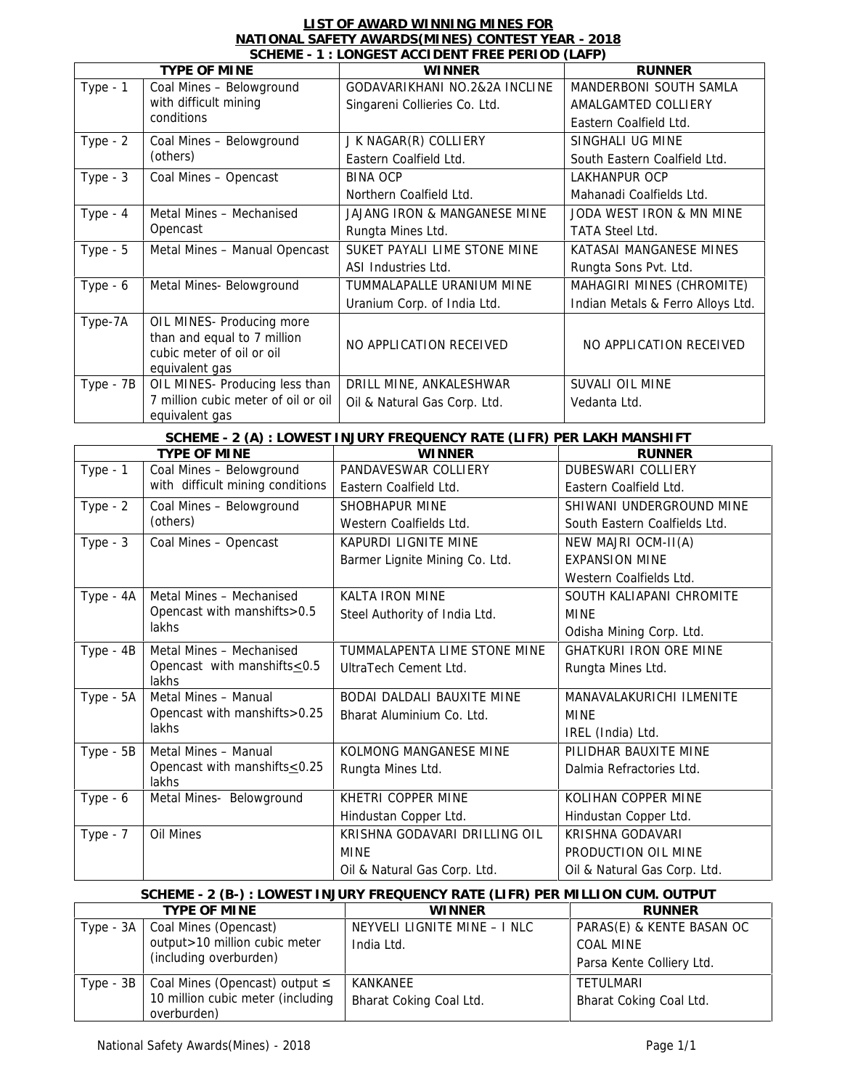| LIST OF AWARD WINNING MINES FOR                    |  |
|----------------------------------------------------|--|
| NATIONAL SAFETY AWARDS (MINES) CONTEST YEAR - 2018 |  |
| SCHEME - 1 · LONGEST ACCIDENT EREE PERIOD (LAEP)   |  |

|             |                                                          | SCHEME - 1 : LONGEST ACCIDENT FREE PERIOD (LAFP)                              |                                   |
|-------------|----------------------------------------------------------|-------------------------------------------------------------------------------|-----------------------------------|
|             | TYPE OF MINE                                             | <b>WINNER</b>                                                                 | <b>RUNNER</b>                     |
| Type - 1    | Coal Mines - Belowground                                 | GODAVARIKHANI NO.2&2A INCLINE                                                 | MANDERBONI SOUTH SAMLA            |
|             | with difficult mining                                    | Singareni Collieries Co. Ltd.                                                 | AMALGAMTED COLLIERY               |
|             | conditions                                               |                                                                               | Eastern Coalfield Ltd.            |
| Type $-2$   | Coal Mines - Belowground                                 | J K NAGAR(R) COLLIERY                                                         | SINGHALI UG MINE                  |
|             | (others)                                                 | Eastern Coalfield Ltd.                                                        | South Eastern Coalfield Ltd.      |
| Type $-3$   | Coal Mines - Opencast                                    | <b>BINA OCP</b>                                                               | LAKHANPUR OCP                     |
|             |                                                          | Northern Coalfield Ltd.                                                       | Mahanadi Coalfields Ltd.          |
| Type - $4$  | Metal Mines - Mechanised                                 | JAJANG IRON & MANGANESE MINE                                                  | JODA WEST IRON & MN MINE          |
|             | Opencast                                                 | Rungta Mines Ltd.                                                             | <b>TATA Steel Ltd.</b>            |
| Type $-5$   | Metal Mines - Manual Opencast                            | SUKET PAYALI LIME STONE MINE                                                  | KATASAI MANGANESE MINES           |
|             |                                                          | ASI Industries Ltd.                                                           | Rungta Sons Pvt. Ltd.             |
| Type - 6    | Metal Mines- Belowground                                 | TUMMALAPALLE URANIUM MINE                                                     | MAHAGIRI MINES (CHROMITE)         |
|             |                                                          | Uranium Corp. of India Ltd.                                                   | Indian Metals & Ferro Alloys Ltd. |
|             |                                                          |                                                                               |                                   |
| Type-7A     | OIL MINES- Producing more<br>than and equal to 7 million |                                                                               |                                   |
|             | cubic meter of oil or oil                                | NO APPLICATION RECEIVED                                                       | NO APPLICATION RECEIVED           |
|             | equivalent gas                                           |                                                                               |                                   |
| Type - 7B   | OIL MINES- Producing less than                           | DRILL MINE, ANKALESHWAR                                                       | SUVALI OIL MINE                   |
|             | 7 million cubic meter of oil or oil                      | Oil & Natural Gas Corp. Ltd.                                                  | Vedanta Ltd.                      |
|             | equivalent gas                                           |                                                                               |                                   |
|             |                                                          | SCHEME - 2 (A) : LOWEST INJURY FREQUENCY RATE (LIFR) PER LAKH MANSHIFT        |                                   |
|             | TYPE OF MINE                                             | <b>WINNER</b>                                                                 | <b>RUNNER</b>                     |
| Type - 1    | Coal Mines - Belowground                                 | PANDAVESWAR COLLIERY                                                          | DUBESWARI COLLIERY                |
|             | with difficult mining conditions                         | Eastern Coalfield Ltd.                                                        | Eastern Coalfield Ltd.            |
| Type - $2$  | Coal Mines - Belowground                                 | SHOBHAPUR MINE                                                                | SHIWANI UNDERGROUND MINE          |
|             | (others)                                                 | Western Coalfields Ltd.                                                       | South Eastern Coalfields Ltd.     |
| Type $-3$   | Coal Mines - Opencast                                    | KAPURDI LIGNITE MINE                                                          | NEW MAJRI OCM-II(A)               |
|             |                                                          | Barmer Lignite Mining Co. Ltd.                                                | <b>EXPANSION MINE</b>             |
|             |                                                          |                                                                               | Western Coalfields Ltd.           |
| Type - 4A   | Metal Mines - Mechanised                                 | KALTA IRON MINE                                                               | SOUTH KALIAPANI CHROMITE          |
|             | Opencast with manshifts>0.5                              | Steel Authority of India Ltd.                                                 | <b>MINE</b>                       |
|             | lakhs                                                    |                                                                               | Odisha Mining Corp. Ltd.          |
|             | Metal Mines - Mechanised                                 | TUMMALAPENTA LIME STONE MINE                                                  | <b>GHATKURI IRON ORE MINE</b>     |
| Type - 4B   | Opencast with manshifts < 0.5                            | UltraTech Cement Ltd.                                                         |                                   |
|             | lakhs                                                    |                                                                               | Rungta Mines Ltd.                 |
| Type - 5A   | Metal Mines - Manual                                     | BODAI DALDALI BAUXITE MINE                                                    | MANAVALAKURICHI ILMENITE          |
|             | Opencast with manshifts>0.25                             | Bharat Aluminium Co. Ltd.                                                     | <b>MINE</b>                       |
|             | lakhs                                                    |                                                                               | IREL (India) Ltd.                 |
| $Type - 5B$ | Metal Mines - Manual                                     | KOLMONG MANGANESE MINE                                                        | PILIDHAR BAUXITE MINE             |
|             | Opencast with manshifts < 0.25                           | Rungta Mines Ltd.                                                             | Dalmia Refractories Ltd.          |
|             | lakhs                                                    |                                                                               |                                   |
| Type - 6    | Metal Mines- Belowground                                 | KHETRI COPPER MINE                                                            | KOLIHAN COPPER MINE               |
|             |                                                          | Hindustan Copper Ltd.                                                         | Hindustan Copper Ltd.             |
| Type - $7$  | Oil Mines                                                | KRISHNA GODAVARI DRILLING OIL                                                 | KRISHNA GODAVARI                  |
|             |                                                          | <b>MINE</b>                                                                   | PRODUCTION OIL MINE               |
|             |                                                          | Oil & Natural Gas Corp. Ltd.                                                  | Oil & Natural Gas Corp. Ltd.      |
|             |                                                          |                                                                               |                                   |
|             |                                                          | SCHEME - 2 (B-) : LOWEST INJURY FREQUENCY RATE (LIFR) PER MILLION CUM. OUTPUT |                                   |
|             | TYPE OF MINE                                             | WINNER                                                                        | <b>RUNNER</b>                     |
| Type - 3A   | Coal Mines (Opencast)                                    | NEYVELI LIGNITE MINE - I NLC                                                  | PARAS(E) & KENTE BASAN OC         |
|             | output > 10 million cubic meter                          | India Ltd.                                                                    | COAL MINE                         |

overburden)

Type - 3B | Coal Mines (Opencast) output |

(including overburden)

10 million cubic meter (including | Bharat

KANKANEE

Bharat Coking Coal Ltd.

Parsa Kente Colliery Ltd.

Bharat Coking Coal Ltd.

TETULMARI